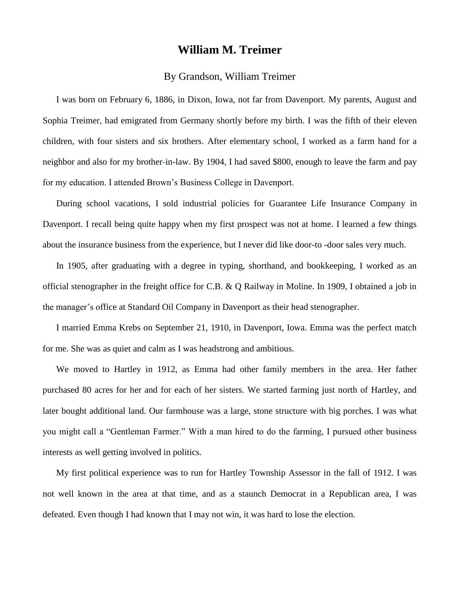## **William M. Treimer**

## By Grandson, William Treimer

I was born on February 6, 1886, in Dixon, Iowa, not far from Davenport. My parents, August and Sophia Treimer, had emigrated from Germany shortly before my birth. I was the fifth of their eleven children, with four sisters and six brothers. After elementary school, I worked as a farm hand for a neighbor and also for my brother-in-law. By 1904, I had saved \$800, enough to leave the farm and pay for my education. I attended Brown's Business College in Davenport.

During school vacations, I sold industrial policies for Guarantee Life Insurance Company in Davenport. I recall being quite happy when my first prospect was not at home. I learned a few things about the insurance business from the experience, but I never did like door-to -door sales very much.

In 1905, after graduating with a degree in typing, shorthand, and bookkeeping, I worked as an official stenographer in the freight office for C.B. & Q Railway in Moline. In 1909, I obtained a job in the manager's office at Standard Oil Company in Davenport as their head stenographer.

I married Emma Krebs on September 21, 1910, in Davenport, Iowa. Emma was the perfect match for me. She was as quiet and calm as I was headstrong and ambitious.

We moved to Hartley in 1912, as Emma had other family members in the area. Her father purchased 80 acres for her and for each of her sisters. We started farming just north of Hartley, and later bought additional land. Our farmhouse was a large, stone structure with big porches. I was what you might call a "Gentleman Farmer." With a man hired to do the farming, I pursued other business interests as well getting involved in politics.

My first political experience was to run for Hartley Township Assessor in the fall of 1912. I was not well known in the area at that time, and as a staunch Democrat in a Republican area, I was defeated. Even though I had known that I may not win, it was hard to lose the election.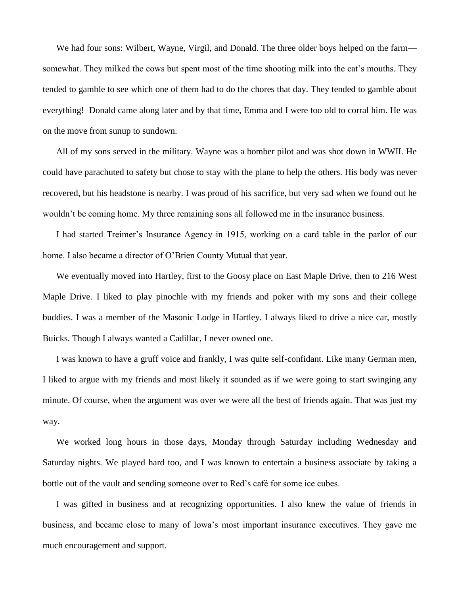We had four sons: Wilbert, Wayne, Virgil, and Donald. The three older boys helped on the farm somewhat. They milked the cows but spent most of the time shooting milk into the cat's mouths. They tended to gamble to see which one of them had to do the chores that day. They tended to gamble about everything! Donald came along later and by that time, Emma and I were too old to corral him. He was on the move from sunup to sundown.

All of my sons served in the military. Wayne was a bomber pilot and was shot down in WWII. He could have parachuted to safety but chose to stay with the plane to help the others. His body was never recovered, but his headstone is nearby. I was proud of his sacrifice, but very sad when we found out he wouldn't be coming home. My three remaining sons all followed me in the insurance business.

I had started Treimer's Insurance Agency in 1915, working on a card table in the parlor of our home. I also became a director of O'Brien County Mutual that year.

We eventually moved into Hartley, first to the Goosy place on East Maple Drive, then to 216 West Maple Drive. I liked to play pinochle with my friends and poker with my sons and their college buddies. I was a member of the Masonic Lodge in Hartley. I always liked to drive a nice car, mostly Buicks. Though I always wanted a Cadillac, I never owned one.

I was known to have a gruff voice and frankly, I was quite self-confidant. Like many German men, I liked to argue with my friends and most likely it sounded as if we were going to start swinging any minute. Of course, when the argument was over we were all the best of friends again. That was just my way.

We worked long hours in those days, Monday through Saturday including Wednesday and Saturday nights. We played hard too, and I was known to entertain a business associate by taking a bottle out of the vault and sending someone over to Red's café for some ice cubes.

I was gifted in business and at recognizing opportunities. I also knew the value of friends in business, and became close to many of Iowa's most important insurance executives. They gave me much encouragement and support.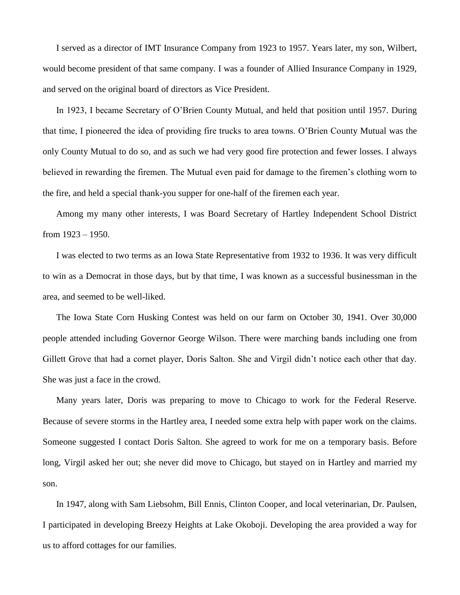I served as a director of IMT Insurance Company from 1923 to 1957. Years later, my son, Wilbert, would become president of that same company. I was a founder of Allied Insurance Company in 1929, and served on the original board of directors as Vice President.

In 1923, I became Secretary of O'Brien County Mutual, and held that position until 1957. During that time, I pioneered the idea of providing fire trucks to area towns. O'Brien County Mutual was the only County Mutual to do so, and as such we had very good fire protection and fewer losses. I always believed in rewarding the firemen. The Mutual even paid for damage to the firemen's clothing worn to the fire, and held a special thank-you supper for one-half of the firemen each year.

Among my many other interests, I was Board Secretary of Hartley Independent School District from 1923 – 1950.

I was elected to two terms as an Iowa State Representative from 1932 to 1936. It was very difficult to win as a Democrat in those days, but by that time, I was known as a successful businessman in the area, and seemed to be well-liked.

The Iowa State Corn Husking Contest was held on our farm on October 30, 1941. Over 30,000 people attended including Governor George Wilson. There were marching bands including one from Gillett Grove that had a cornet player, Doris Salton. She and Virgil didn't notice each other that day. She was just a face in the crowd.

Many years later, Doris was preparing to move to Chicago to work for the Federal Reserve. Because of severe storms in the Hartley area, I needed some extra help with paper work on the claims. Someone suggested I contact Doris Salton. She agreed to work for me on a temporary basis. Before long, Virgil asked her out; she never did move to Chicago, but stayed on in Hartley and married my son.

In 1947, along with Sam Liebsohm, Bill Ennis, Clinton Cooper, and local veterinarian, Dr. Paulsen, I participated in developing Breezy Heights at Lake Okoboji. Developing the area provided a way for us to afford cottages for our families.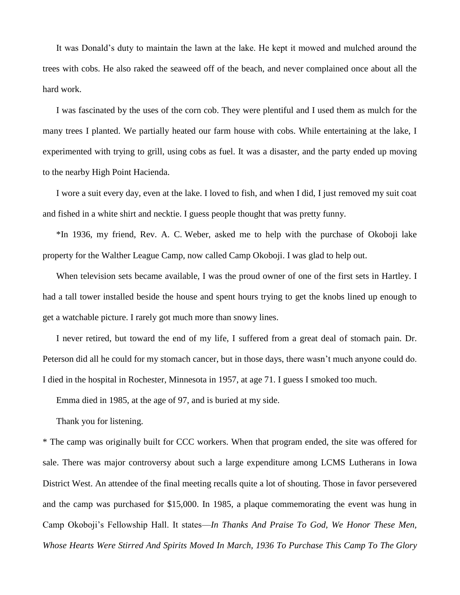It was Donald's duty to maintain the lawn at the lake. He kept it mowed and mulched around the trees with cobs. He also raked the seaweed off of the beach, and never complained once about all the hard work.

I was fascinated by the uses of the corn cob. They were plentiful and I used them as mulch for the many trees I planted. We partially heated our farm house with cobs. While entertaining at the lake, I experimented with trying to grill, using cobs as fuel. It was a disaster, and the party ended up moving to the nearby High Point Hacienda.

I wore a suit every day, even at the lake. I loved to fish, and when I did, I just removed my suit coat and fished in a white shirt and necktie. I guess people thought that was pretty funny.

\*In 1936, my friend, Rev. A. C. Weber, asked me to help with the purchase of Okoboji lake property for the Walther League Camp, now called Camp Okoboji. I was glad to help out.

When television sets became available, I was the proud owner of one of the first sets in Hartley. I had a tall tower installed beside the house and spent hours trying to get the knobs lined up enough to get a watchable picture. I rarely got much more than snowy lines.

I never retired, but toward the end of my life, I suffered from a great deal of stomach pain. Dr. Peterson did all he could for my stomach cancer, but in those days, there wasn't much anyone could do. I died in the hospital in Rochester, Minnesota in 1957, at age 71. I guess I smoked too much.

Emma died in 1985, at the age of 97, and is buried at my side.

Thank you for listening.

\* The camp was originally built for CCC workers. When that program ended, the site was offered for sale. There was major controversy about such a large expenditure among LCMS Lutherans in Iowa District West. An attendee of the final meeting recalls quite a lot of shouting. Those in favor persevered and the camp was purchased for \$15,000. In 1985, a plaque commemorating the event was hung in Camp Okoboji's Fellowship Hall. It states—*In Thanks And Praise To God, We Honor These Men, Whose Hearts Were Stirred And Spirits Moved In March, 1936 To Purchase This Camp To The Glory*